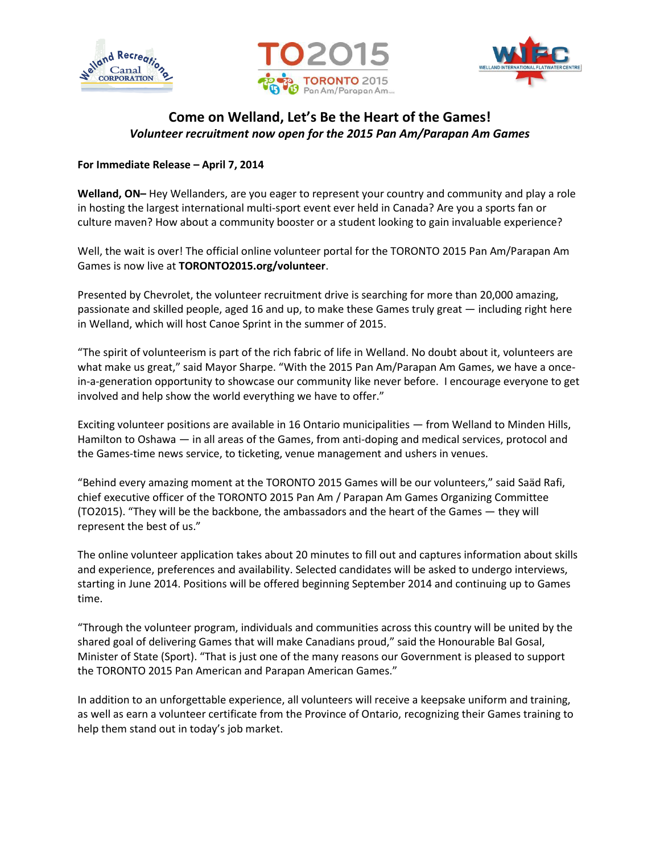





## **Come on Welland, Let's Be the Heart of the Games!** *Volunteer recruitment now open for the 2015 Pan Am/Parapan Am Games*

## **For Immediate Release – April 7, 2014**

**Welland, ON–** Hey Wellanders, are you eager to represent your country and community and play a role in hosting the largest international multi-sport event ever held in Canada? Are you a sports fan or culture maven? How about a community booster or a student looking to gain invaluable experience?

Well, the wait is over! The official online volunteer portal for the TORONTO 2015 Pan Am/Parapan Am Games is now live at **TORONTO2015.org/volunteer**.

Presented by Chevrolet, the volunteer recruitment drive is searching for more than 20,000 amazing, passionate and skilled people, aged 16 and up, to make these Games truly great — including right here in Welland, which will host Canoe Sprint in the summer of 2015.

"The spirit of volunteerism is part of the rich fabric of life in Welland. No doubt about it, volunteers are what make us great," said Mayor Sharpe. "With the 2015 Pan Am/Parapan Am Games, we have a oncein-a-generation opportunity to showcase our community like never before. I encourage everyone to get involved and help show the world everything we have to offer."

Exciting volunteer positions are available in 16 Ontario municipalities — from Welland to Minden Hills, Hamilton to Oshawa — in all areas of the Games, from anti-doping and medical services, protocol and the Games-time news service, to ticketing, venue management and ushers in venues.

"Behind every amazing moment at the TORONTO 2015 Games will be our volunteers," said Saäd Rafi, chief executive officer of the TORONTO 2015 Pan Am / Parapan Am Games Organizing Committee (TO2015). "They will be the backbone, the ambassadors and the heart of the Games — they will represent the best of us."

The online volunteer application takes about 20 minutes to fill out and captures information about skills and experience, preferences and availability. Selected candidates will be asked to undergo interviews, starting in June 2014. Positions will be offered beginning September 2014 and continuing up to Games time.

"Through the volunteer program, individuals and communities across this country will be united by the shared goal of delivering Games that will make Canadians proud," said the Honourable Bal Gosal, Minister of State (Sport). "That is just one of the many reasons our Government is pleased to support the TORONTO 2015 Pan American and Parapan American Games."

In addition to an unforgettable experience, all volunteers will receive a keepsake uniform and training, as well as earn a volunteer certificate from the Province of Ontario, recognizing their Games training to help them stand out in today's job market.